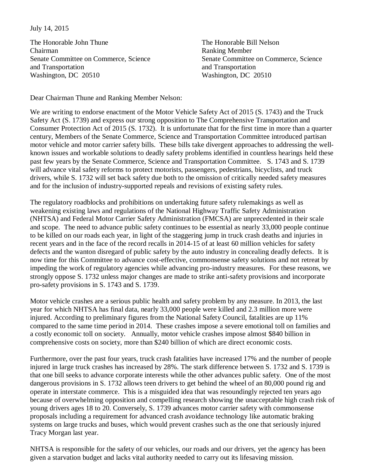## July 14, 2015

The Honorable John Thune The Honorable Bill Nelson Chairman Ranking Member and Transportation and Transportation and Transportation Washington, DC 20510 Washington, DC 20510

Senate Committee on Commerce, Science Senate Committee on Commerce, Science

Dear Chairman Thune and Ranking Member Nelson:

We are writing to endorse enactment of the Motor Vehicle Safety Act of 2015 (S. 1743) and the Truck Safety Act (S. 1739) and express our strong opposition to The Comprehensive Transportation and Consumer Protection Act of 2015 (S. 1732). It is unfortunate that for the first time in more than a quarter century, Members of the Senate Commerce, Science and Transportation Committee introduced partisan motor vehicle and motor carrier safety bills. These bills take divergent approaches to addressing the wellknown issues and workable solutions to deadly safety problems identified in countless hearings held these past few years by the Senate Commerce, Science and Transportation Committee. S. 1743 and S. 1739 will advance vital safety reforms to protect motorists, passengers, pedestrians, bicyclists, and truck drivers, while S. 1732 will set back safety due both to the omission of critically needed safety measures and for the inclusion of industry-supported repeals and revisions of existing safety rules.

The regulatory roadblocks and prohibitions on undertaking future safety rulemakings as well as weakening existing laws and regulations of the National Highway Traffic Safety Administration (NHTSA) and Federal Motor Carrier Safety Administration (FMCSA) are unprecedented in their scale and scope. The need to advance public safety continues to be essential as nearly 33,000 people continue to be killed on our roads each year, in light of the staggering jump in truck crash deaths and injuries in recent years and in the face of the record recalls in 2014-15 of at least 60 million vehicles for safety defects and the wanton disregard of public safety by the auto industry in concealing deadly defects. It is now time for this Committee to advance cost-effective, commonsense safety solutions and not retreat by impeding the work of regulatory agencies while advancing pro-industry measures. For these reasons, we strongly oppose S. 1732 unless major changes are made to strike anti-safety provisions and incorporate pro-safety provisions in S. 1743 and S. 1739.

Motor vehicle crashes are a serious public health and safety problem by any measure. In 2013, the last year for which NHTSA has final data, nearly 33,000 people were killed and 2.3 million more were injured. According to preliminary figures from the National Safety Council, fatalities are up 11% compared to the same time period in 2014. These crashes impose a severe emotional toll on families and a costly economic toll on society. Annually, motor vehicle crashes impose almost \$840 billion in comprehensive costs on society, more than \$240 billion of which are direct economic costs.

Furthermore, over the past four years, truck crash fatalities have increased 17% and the number of people injured in large truck crashes has increased by 28%. The stark difference between S. 1732 and S. 1739 is that one bill seeks to advance corporate interests while the other advances public safety. One of the most dangerous provisions in S. 1732 allows teen drivers to get behind the wheel of an 80,000 pound rig and operate in interstate commerce. This is a misguided idea that was resoundingly rejected ten years ago because of overwhelming opposition and compelling research showing the unacceptable high crash risk of young drivers ages 18 to 20. Conversely, S. 1739 advances motor carrier safety with commonsense proposals including a requirement for advanced crash avoidance technology like automatic braking systems on large trucks and buses, which would prevent crashes such as the one that seriously injured Tracy Morgan last year.

NHTSA is responsible for the safety of our vehicles, our roads and our drivers, yet the agency has been given a starvation budget and lacks vital authority needed to carry out its lifesaving mission.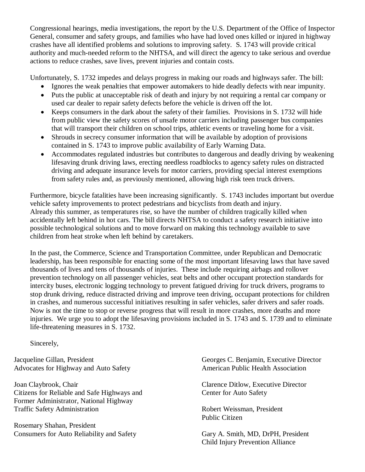Congressional hearings, media investigations, the report by the U.S. Department of the Office of Inspector General, consumer and safety groups, and families who have had loved ones killed or injured in highway crashes have all identified problems and solutions to improving safety. S. 1743 will provide critical authority and much-needed reform to the NHTSA, and will direct the agency to take serious and overdue actions to reduce crashes, save lives, prevent injuries and contain costs.

Unfortunately, S. 1732 impedes and delays progress in making our roads and highways safer. The bill:

- Ignores the weak penalties that empower automakers to hide deadly defects with near impunity.
- Puts the public at unacceptable risk of death and injury by not requiring a rental car company or used car dealer to repair safety defects before the vehicle is driven off the lot.
- Keeps consumers in the dark about the safety of their families. Provisions in S. 1732 will hide from public view the safety scores of unsafe motor carriers including passenger bus companies that will transport their children on school trips, athletic events or traveling home for a visit.
- Shrouds in secrecy consumer information that will be available by adoption of provisions contained in S. 1743 to improve public availability of Early Warning Data.
- Accommodates regulated industries but contributes to dangerous and deadly driving by weakening lifesaving drunk driving laws, erecting needless roadblocks to agency safety rules on distracted driving and adequate insurance levels for motor carriers, providing special interest exemptions from safety rules and, as previously mentioned, allowing high risk teen truck drivers.

Furthermore, bicycle fatalities have been increasing significantly. S. 1743 includes important but overdue vehicle safety improvements to protect pedestrians and bicyclists from death and injury. Already this summer, as temperatures rise, so have the number of children tragically killed when accidentally left behind in hot cars. The bill directs NHTSA to conduct a safety research initiative into possible technological solutions and to move forward on making this technology available to save children from heat stroke when left behind by caretakers.

In the past, the Commerce, Science and Transportation Committee, under Republican and Democratic leadership, has been responsible for enacting some of the most important lifesaving laws that have saved thousands of lives and tens of thousands of injuries. These include requiring airbags and rollover prevention technology on all passenger vehicles, seat belts and other occupant protection standards for intercity buses, electronic logging technology to prevent fatigued driving for truck drivers, programs to stop drunk driving, reduce distracted driving and improve teen driving, occupant protections for children in crashes, and numerous successful initiatives resulting in safer vehicles, safer drivers and safer roads. Now is not the time to stop or reverse progress that will result in more crashes, more deaths and more injuries. We urge you to adopt the lifesaving provisions included in S. 1743 and S. 1739 and to eliminate life-threatening measures in S. 1732.

Sincerely,

Advocates for Highway and Auto Safety **American Public Health Association** 

Joan Claybrook, Chair Clarence Ditlow, Executive Director Citizens for Reliable and Safe Highways and Center for Auto Safety Former Administrator, National Highway Traffic Safety Administration Robert Weissman, President

Rosemary Shahan, President Consumers for Auto Reliability and Safety Gary A. Smith, MD, DrPH, President

Jacqueline Gillan, President Georges C. Benjamin, Executive Director

Public Citizen

Child Injury Prevention Alliance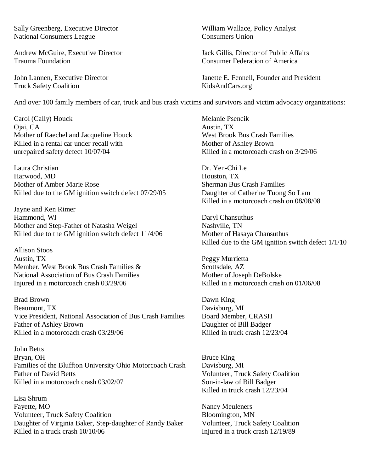Sally Greenberg, Executive Director William Wallace, Policy Analyst National Consumers League Consumers Union

Andrew McGuire, Executive Director Jack Gillis, Director of Public Affairs Trauma Foundation Consumer Federation of America

Truck Safety Coalition KidsAndCars.org

John Lannen, Executive Director Janette E. Fennell, Founder and President

And over 100 family members of car, truck and bus crash victims and survivors and victim advocacy organizations:

Carol (Cally) Houck Melanie Psencik Ojai, CA Austin, TX Mother of Raechel and Jacqueline Houck West Brook Bus Crash Families Killed in a rental car under recall with Mother of Ashley Brown unrepaired safety defect 10/07/04 Killed in a motorcoach crash on 3/29/06

Laura Christian Dr. Yen-Chi Le Harwood, MD **Houston, TX** Houston, TX Mother of Amber Marie Rose Sherman Bus Crash Families Killed due to the GM ignition switch defect 07/29/05 Daughter of Catherine Tuong So Lam

Jayne and Ken Rimer Hammond, WI Daryl Chansuthus Mother and Step-Father of Natasha Weigel Nashville, TN Killed due to the GM ignition switch defect  $11/4/06$  Mother of Hasaya Chansuthus

Allison Stoos Austin, TX Peggy Murrietta Member, West Brook Bus Crash Families & Scottsdale, AZ National Association of Bus Crash Families Mother of Joseph DeBolske<br>
Injured in a motorcoach crash 03/29/06 Killed in a motorcoach crash on 01/06/08 Injured in a motorcoach crash  $03/29/06$ 

Brad Brown Dawn King Beaumont, TX Davisburg, MI Vice President, National Association of Bus Crash Families Board Member, CRASH Father of Ashley Brown<br>
Killed in a motorcoach crash 03/29/06<br>
Killed in truck crash 12/23/04 Killed in a motorcoach crash  $03/29/06$ 

John Betts Bryan, OH Bruce King Families of the Bluffton University Ohio Motorcoach Crash Davisburg, MI Father of David Betts Volunteer, Truck Safety Coalition Killed in a motorcoach crash 03/02/07 Son-in-law of Bill Badger

Lisa Shrum Fayette, MO<br>
Volunteer, Truck Safety Coalition<br>
Roles Bloomington, MN Volunteer, Truck Safety Coalition<br>
Daughter of Virginia Baker, Step-daughter of Randy Baker<br>
Volunteer, Truck Safety Coalition Daughter of Virginia Baker, Step-daughter of Randy Baker<br>Killed in a truck crash  $10/10/06$ 

Killed in a motorcoach crash on 08/08/08

Killed due to the GM ignition switch defect 1/1/10

Killed in truck crash 12/23/04

Injured in a truck crash 12/19/89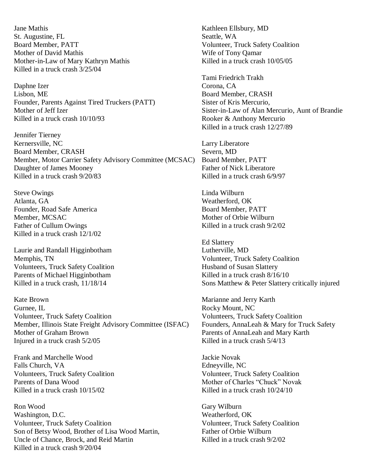Jane Mathis Kathleen Ellsbury, MD St. Augustine, FL Seattle, WA Board Member, PATT Volunteer, Truck Safety Coalition Mother of David Mathis Wife of Tony Oamar Mother-in-Law of Mary Kathryn Mathis Killed in a truck crash 10/05/05 Killed in a truck crash 3/25/04

Daphne Izer Corona, CA Lisbon, ME Board Member, CRASH Founder, Parents Against Tired Truckers (PATT) Sister of Kris Mercurio, Killed in a truck crash  $10/10/93$  Rooker & Anthony Mercurio

Jennifer Tierney Kernersville, NC<br>
Board Member, CRASH<br>
Severn, MD<br>
Severn, MD Board Member, CRASH Member, Motor Carrier Safety Advisory Committee (MCSAC) Board Member, PATT Daughter of James Mooney Father of Nick Liberatore Killed in a truck crash 9/20/83 Killed in a truck crash 6/9/97

Steve Owings **Linda Wilburn** Atlanta, GA Weatherford, OK Founder, Road Safe America Board Member, PATT Member, MCSAC Mother of Orbie Wilburn Father of Cullum Owings Killed in a truck crash  $9/2/02$ Killed in a truck crash 12/1/02

Laurie and Randall Higginbotham Lutherville, MD Memphis, TN Volunteer, Truck Safety Coalition Volunteers, Truck Safety Coalition Husband of Susan Slattery Parents of Michael Higginbotham Killed in a truck crash 8/16/10<br>Killed in a truck crash 11/18/14 Sons Matthew & Peter Slattery

Kate Brown Marianne and Jerry Karth Gurnee, IL Rocky Mount, NC Volunteer, Truck Safety Coalition Volunteers, Truck Safety Coalition Member, Illinois State Freight Advisory Committee (ISFAC) Founders, AnnaLeah & Mary for Truck Safety<br>Mother of Graham Brown Parents of AnnaLeah and Mary Karth Injured in a truck crash  $5/2/05$  Killed in a truck crash  $5/4/13$ 

Frank and Marchelle Wood Jackie Novak Falls Church, VA Edneyville, NC Volunteers, Truck Safety Coalition Volunteer, Truck Safety Coalition Parents of Dana Wood Mother of Charles "Chuck" Novak Killed in a truck crash  $10/15/02$  Killed in a truck crash  $10/24/10$ 

Ron Wood Gary Wilburn Washington, D.C. Weatherford, OK Volunteer, Truck Safety Coalition<br>
Son of Betsy Wood. Brother of Lisa Wood Martin. Father of Orbie Wilburn Son of Betsy Wood, Brother of Lisa Wood Martin, Uncle of Chance, Brock, and Reid Martin Killed in a truck crash  $9/2/02$ Killed in a truck crash 9/20/04

Tami Friedrich Trakh Mother of Jeff Izer Sister-in-Law of Alan Mercurio, Aunt of Brandie Killed in a truck crash 12/27/89

Ed Slattery Sons Matthew & Peter Slattery critically injured

Parents of AnnaLeah and Mary Karth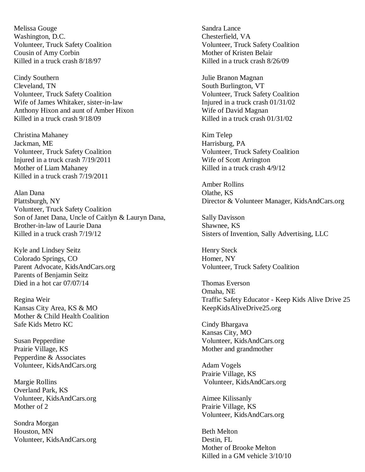Melissa Gouge Sandra Lance Washington, D.C. Chesterfield, VA Volunteer, Truck Safety Coalition Volunteer, Truck Safety Coalition Cousin of Amy Corbin Mother of Kristen Belair Killed in a truck crash  $8/18/97$  Killed in a truck crash 8/26/09

Cindy Southern Julie Branon Magnan Cleveland, TN South Burlington, VT Volunteer, Truck Safety Coalition Volunteer, Truck Safety Coalition Wife of James Whitaker, sister-in-law Injured in a truck crash 01/31/02 Anthony Hixon and aunt of Amber Hixon Wife of David Magnan Killed in a truck crash  $9/18/09$  Killed in a truck crash  $01/31/02$ 

Christina Mahaney Kim Telep Jackman, ME Harrisburg, PA Volunteer, Truck Safety Coalition Volunteer, Truck Safety Coalition Injured in a truck crash 7/19/2011 Wife of Scott Arrington<br>
Mother of Liam Mahanev Killed in a truck crash 4/ Killed in a truck crash 7/19/2011

Alan Dana Olathe, KS Plattsburgh, NY Director & Volunteer Manager, KidsAndCars.org Volunteer, Truck Safety Coalition Son of Janet Dana, Uncle of Caitlyn & Lauryn Dana, Sally Davisson Brother-in-law of Laurie Dana Shawnee, KS Killed in a truck crash  $7/19/12$  Sisters of Invention, Sally Advertising, LLC

Kyle and Lindsey Seitz Henry Steck Colorado Springs, CO Homer, NY Parent Advocate, KidsAndCars.org Volunteer, Truck Safety Coalition Parents of Benjamin Seitz Died in a hot car 07/07/14 Thomas Everson

Kansas City Area, KS & MO KeepKidsAliveDrive25.org Mother & Child Health Coalition Safe Kids Metro KC Cindy Bhargava

Prairie Village, KS Mother and grandmother Pepperdine & Associates Volunteer, KidsAndCars.org Adam Vogels

Overland Park, KS Volunteer, KidsAndCars.org Aimee Kilissanly Mother of 2 Prairie Village, KS

Sondra Morgan Houston, MN Beth Melton Volunteer, KidsAndCars.org Destin, FL

Killed in a truck crash  $4/9/12$ 

Amber Rollins

Omaha, NE Regina Weir Traffic Safety Educator - Keep Kids Alive Drive 25

Kansas City, MO Susan Pepperdine Volunteer, KidsAndCars.org

Prairie Village, KS Margie Rollins Volunteer, KidsAndCars.org

Volunteer, KidsAndCars.org

Mother of Brooke Melton Killed in a GM vehicle 3/10/10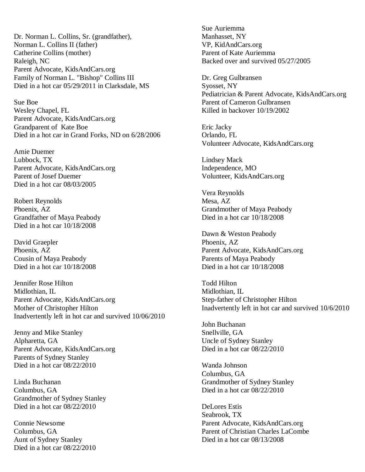Dr. Norman L. Collins, Sr. (grandfather), Manhasset, NY Norman L. Collins II (father) VP, KidAndCars.org Catherine Collins (mother) Parent of Kate Auriemma Raleigh, NC<br>Backed over and survived 05/27/2005 Parent Advocate, KidsAndCars.org Family of Norman L. "Bishop" Collins III Dr. Greg Gulbransen Died in a hot car  $05/29/2011$  in Clarksdale, MS Syosset, NY

Sue Boe Parent of Cameron Gulbransen Wesley Chapel, FL **Killed** in backover 10/19/2002 Parent Advocate, KidsAndCars.org Grandparent of Kate Boe Eric Jacky Died in a hot car in Grand Forks, ND on 6/28/2006 Orlando, FL

Amie Duemer Lubbock, TX Lindsey Mack Parent Advocate, KidsAndCars.org Independence, MO Parent of Josef Duemer Volunteer, KidsAndCars.org Died in a hot car 08/03/2005

Robert Reynolds Mesa, AZ Grandfather of Maya Peabody Died in a hot car  $10/18/2008$ Died in a hot car 10/18/2008

David Graepler Phoenix, AZ Cousin of Maya Peabody **Parents of Maya Peabody** Parents of Maya Peabody

Jennifer Rose Hilton Todd Hilton Midlothian, IL Midlothian, IL Parent Advocate, KidsAndCars.org Step-father of Christopher Hilton Mother of Christopher Hilton Inadvertently left in hot car and survived 10/6/2010 Inadvertently left in hot car and survived 10/06/2010

Jenny and Mike Stanley Snellville, GA Alpharetta, GA<br>
Parent Advocate. KidsAndCars.org<br>
Died in a hot car 08/22/2010 Parent Advocate, KidsAndCars.org Parents of Sydney Stanley Died in a hot car  $08/22/2010$  Wanda Johnson

Columbus, GA Died in a hot car 08/22/2010 Grandmother of Sydney Stanley Died in a hot car  $08/22/2010$  DeLores Estis

Died in a hot car 08/22/2010

Sue Auriemma

Pediatrician & Parent Advocate, KidsAndCars.org

Volunteer Advocate, KidsAndCars.org

Vera Reynolds Phoenix, AZ Grandmother of Maya Peabody

Dawn & Weston Peabody Phoenix, AZ Parent Advocate, KidsAndCars.org Died in a hot car 10/18/2008 Died in a hot car 10/18/2008

John Buchanan

Columbus, GA Linda Buchanan Grandmother of Sydney Stanley

Seabrook, TX Connie Newsome Parent Advocate, KidsAndCars.org Columbus, GA Parent of Christian Charles LaCombe Aunt of Sydney Stanley Died in a hot car  $08/13/2008$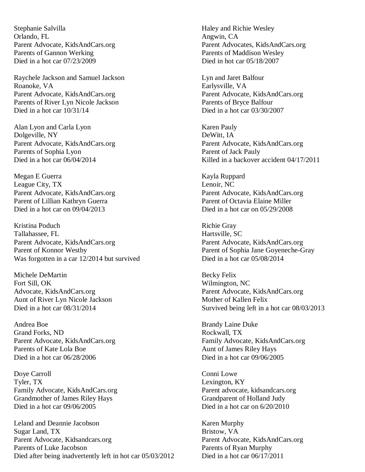Stephanie Salvilla Haley and Richie Wesley Orlando, FL Angwin, CA Parents of Gannon Werking Parents of Maddison Wesley Died in a hot car 07/23/2009 Died in hot car 05/18/2007

Raychele Jackson and Samuel Jackson **Lyn and Jaret Balfour** Roanoke, VA Earlysville, VA Parent Advocate, KidsAndCars.org<br>
Parent Advocate, KidsAndCars.org<br>
Parents of River Lyn Nicole Jackson<br>
Parents of Bryce Balfour Parents of River Lyn Nicole Jackson Died in a hot car  $10/31/14$  Died in a hot car  $03/30/2007$ 

Alan Lyon and Carla Lyon **Karen Pauly** Karen Pauly Dolgeville, NY DeWitt, IA Parents of Sophia Lyon Parent of Jack Pauly

Megan E Guerra Kayla Ruppard League City, TX Lenoir, NC Parent Advocate, KidsAndCars.org Parent Advocate, KidsAndCars.org Parent of Lillian Kathryn Guerra **Parent of Octavia Elaine Miller** Died in a hot car on 09/04/2013 Died in a hot car on 05/29/2008

Kristina Poduch Richie Gray Tallahassee, FL **Hartsville, SC** Parent Advocate, KidsAndCars.org<br>
Parent of Konnor Westby<br>
Parent of Sophia Jane Goyeneche-G Was forgotten in a car 12/2014 but survived Died in a hot car 05/08/2014

Michele DeMartin Becky Felix Fort Sill, OK Wilmington, NC Aunt of River Lyn Nicole Jackson Mother of Kallen Felix

Andrea Boe Brandy Laine Duke Brandy Laine Duke Grand Forks. ND Grand Forks, ND Parents of Kate Lola Boe Aunt of James Riley Hays Died in a hot car  $06/28/2006$  Died in a hot car  $09/06/2005$ 

Doye Carroll Conni Lowe Tyler, TX Lexington, KY Family Advocate, KidsAndCars.org Parent advocate, kidsandcars.org Grandmother of James Riley Hays Grandparent of Holland Judy Died in a hot car 09/06/2005 Died in a hot car on 6/20/2010

Leland and Deannie Jacobson Karen Murphy<br>
Sugar Land, TX Bristow, VA Sugar Land, TX Parent Advocate, Kidsandcars.org Parent Advocate, KidsAndCars.org Parents of Luke Jacobson Parents of Ryan Murphy Died after being inadvertently left in hot car  $05/03/2012$  Died in a hot car  $06/17/2011$ 

Parent Advocate, KidsAndCars.org Parent Advocates, KidsAndCars.org

Parent Advocate, KidsAndCars.org Parent Advocate, KidsAndCars.org Died in a hot car  $06/04/2014$  Killed in a backover accident  $04/17/2011$ 

Parent of Sophia Jane Goyeneche-Gray

Advocate, KidsAndCars.org Parent Advocate, KidsAndCars.org Died in a hot car  $08/31/2014$  Survived being left in a hot car  $08/03/2013$ 

Parent Advocate, KidsAndCars.org Family Advocate, KidsAndCars.org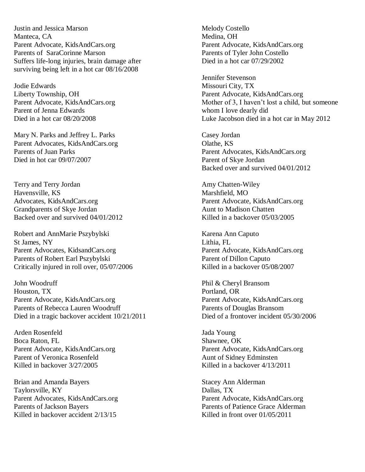Justin and Jessica Marson Melody Costello Manteca, CA Medina, OH Parent Advocate, KidsAndCars.org Parent Advocate, KidsAndCars.org Parents of SaraCorinne Marson Parents of Tyler John Costello Suffers life-long injuries, brain damage after Died in a hot car 07/29/2002 surviving being left in a hot car 08/16/2008

Jodie Edwards Missouri City, TX Parent of Jenna Edwards whom I love dearly did

Mary N. Parks and Jeffrey L. Parks Casey Jordan Parent Advocates, KidsAndCars.org Olathe, KS Died in hot car 09/07/2007 Parent of Skye Jordan

Terry and Terry Jordan Amy Chatten-Wiley Havensville, KS<br>
Advocates, KidsAndCars.org<br>
Parent Advocate Grandparents of Skye Jordan Aunt to Madison Chatten Backed over and survived 04/01/2012 Killed in a backover 05/03/2005

Robert and AnnMarie Pszybylski Karena Ann Caputo St James, NY<br>
Parent Advocates, KidsandCars.org<br>
Parent Advocate, KidsAndCars.org Parent Advocates, KidsandCars.org Parent Advocate, KidsA<br>
Parents of Robert Earl Pszybylski<br>
Parent of Dillon Caputo Parents of Robert Earl Pszybylski Critically injured in roll over, 05/07/2006 Killed in a backover 05/08/2007

John Woodruff Phil & Cheryl Bransom Houston, TX Portland, OR Parent Advocate, KidsAndCars.org Parent Advocate, KidsAndCars.org Parents of Rebecca Lauren Woodruff Parents of Douglas Bransom Died in a tragic backover accident  $10/21/2011$  Died of a frontover incident 05/30/2006

Arden Rosenfeld Jada Young Boca Raton, FL Shawnee, OK Parent of Veronica Rosenfeld Aunt of Sidney Edminsten Killed in backover  $\frac{3}{27}{2005}$  Killed in a backover  $\frac{4}{13}{2011}$ 

Brian and Amanda Bayers Stacey Ann Alderman Taylorsville, KY Dallas, TX Parent Advocates, KidsAndCars.org Parent Advocate, KidsAndCars.org Parents of Jackson Bayers Parents of Patience Grace Alderman Killed in backover accident  $2/13/15$  Killed in front over 01/05/2011

Jennifer Stevenson Liberty Township, OH Parent Advocate, KidsAndCars.org Parent Advocate, KidsAndCars.org Mother of 3, I haven't lost a child, but someone Died in a hot car 08/20/2008 Luke Jacobson died in a hot car in May 2012

> Parent Advocates, KidsAndCars.org Backed over and survived 04/01/2012

Parent Advocate, KidsAndCars.org

Parent Advocate, KidsAndCars.org Parent Advocate, KidsAndCars.org